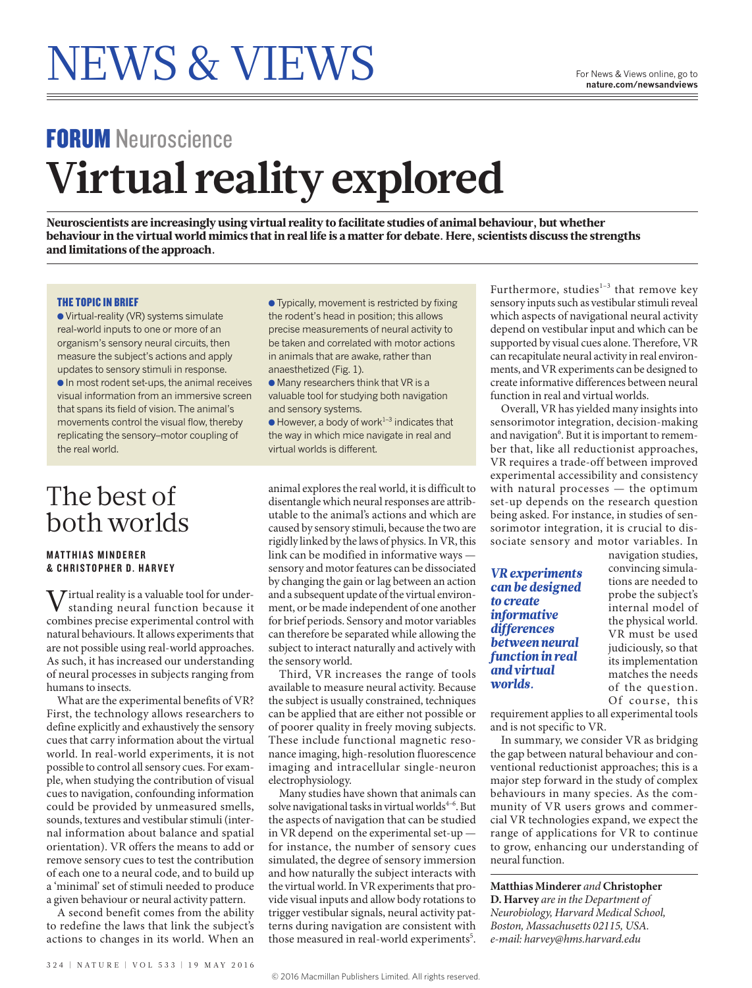# FORUM Neuroscience **Virtual reality explored**

Neuroscientists are increasingly using virtual reality to facilitate studies of animal behaviour, but whether behaviour in the virtual world mimics that in real life is a matter for debate. Here, scientists discuss the strengths and limitations of the approach.

#### THE TOPIC IN BRIEF

● Virtual-reality (VR) systems simulate real-world inputs to one or more of an organism's sensory neural circuits, then measure the subject's actions and apply updates to sensory stimuli in response.  $\bullet$  In most rodent set-ups, the animal receives visual information from an immersive screen that spans its field of vision. The animal's movements control the visual flow, thereby replicating the sensory–motor coupling of the real world.

## The best of both worlds

#### **MATTHIAS MINDERER** & CHRISTOPHER D. HARVEY

 $\overline{f}$  irtual reality is a valuable tool for understanding neural function because it combines precise experimental control with natural behaviours. It allows experiments that are not possible using real-world approaches. As such, it has increased our understanding of neural processes in subjects ranging from humans to insects.

What are the experimental benefits of VR? First, the technology allows researchers to define explicitly and exhaustively the sensory cues that carry information about the virtual world. In real-world experiments, it is not possible to control all sensory cues. For example, when studying the contribution of visual cues to navigation, confounding information could be provided by unmeasured smells, sounds, textures and vestibular stimuli (internal information about balance and spatial orientation). VR offers the means to add or remove sensory cues to test the contribution of each one to a neural code, and to build up a 'minimal' set of stimuli needed to produce a given behaviour or neural activity pattern.

A second benefit comes from the ability to redefine the laws that link the subject's actions to changes in its world. When an ● Typically, movement is restricted by fixing the rodent's head in position; this allows precise measurements of neural activity to be taken and correlated with motor actions in animals that are awake, rather than anaesthetized (Fig. 1).

- Many researchers think that VR is a valuable tool for studying both navigation and sensory systems.
- $\bullet$  However, a body of work<sup>1-3</sup> indicates that the way in which mice navigate in real and virtual worlds is different.

animal explores the real world, it is difficult to disentangle which neural responses are attributable to the animal's actions and which are caused by sensory stimuli, because the two are rigidly linked by the laws of physics. In VR, this link can be modified in informative ways sensory and motor features can be dissociated by changing the gain or lag between an action and a subsequent update of the virtual environment, or be made independent of one another for brief periods. Sensory and motor variables can therefore be separated while allowing the subject to interact naturally and actively with the sensory world.

Third, VR increases the range of tools available to measure neural activity. Because the subject is usually constrained, techniques can be applied that are either not possible or of poorer quality in freely moving subjects. These include functional magnetic resonance imaging, high-resolution fluorescence imaging and intracellular single-neuron electrophysiology.

Many studies have shown that animals can solve navigational tasks in virtual worlds $4-6$ . But the aspects of navigation that can be studied in VR depend on the experimental set-up for instance, the number of sensory cues simulated, the degree of sensory immersion and how naturally the subject interacts with the virtual world. In VR experiments that provide visual inputs and allow body rotations to trigger vestibular signals, neural activity patterns during navigation are consistent with those measured in real-world experiments<sup>5</sup>.

Furthermore, studies $1-3$  that remove key sensory inputs such as vestibular stimuli reveal which aspects of navigational neural activity depend on vestibular input and which can be supported by visual cues alone. Therefore, VR can recapitulate neural activity in real environments, and VR experiments can be designed to create informative differences between neural function in real and virtual worlds.

Overall, VR has yielded many insights into sensorimotor integration, decision-making and navigation<sup>6</sup>. But it is important to remember that, like all reductionist approaches, VR requires a trade-off between improved experimental accessibility and consistency with natural processes — the optimum set-up depends on the research question being asked. For instance, in studies of sensorimotor integration, it is crucial to dissociate sensory and motor variables. In

*VR experiments can be designed to create informative differences between neural function in real and virtual worlds.*

navigation studies, convincing simulations are needed to probe the subject's internal model of the physical world. VR must be used judiciously, so that its implementation matches the needs of the question. Of course, this

requirement applies to all experimental tools and is not specific to VR.

In summary, we consider VR as bridging the gap between natural behaviour and conventional reductionist approaches; this is a major step forward in the study of complex behaviours in many species. As the community of VR users grows and commercial VR technologies expand, we expect the range of applications for VR to continue to grow, enhancing our understanding of neural function.

**Matthias Minderer** *and* **Christopher D. Harvey** *are in the Department of Neurobiology, Harvard Medical School, Boston, Massachusetts 02115, USA. e-mail: [harvey@hms.harvard.edu](mailto:harvey@hms.harvard.edu)*